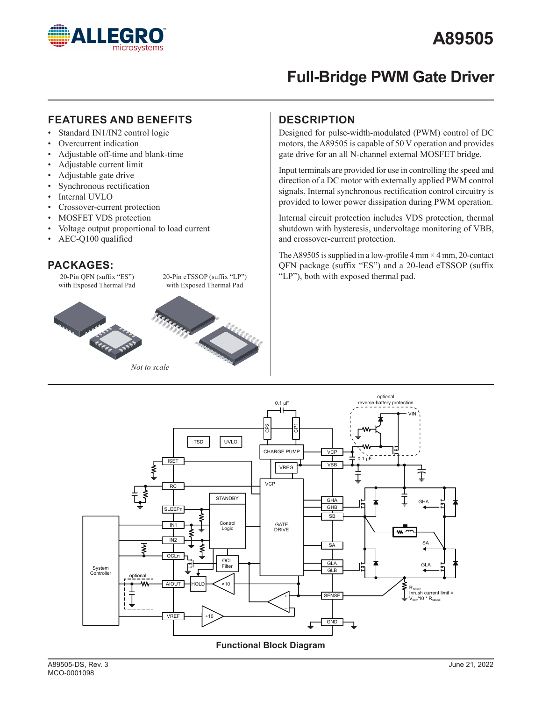

# **Full-Bridge PWM Gate Driver**

### **FEATURES AND BENEFITS DESCRIPTION**

- Standard IN1/IN2 control logic
- Overcurrent indication
- Adjustable off-time and blank-time
- Adjustable current limit
- Adjustable gate drive
- Synchronous rectification
- Internal UVLO
- Crossover-current protection
- MOSFET VDS protection
- Voltage output proportional to load current
- AEC-Q100 qualified

### **PACKAGES:**



Designed for pulse-width-modulated (PWM) control of DC motors, the A89505 is capable of 50 V operation and provides gate drive for an all N-channel external MOSFET bridge.

Input terminals are provided for use in controlling the speed and direction of a DC motor with externally applied PWM control signals. Internal synchronous rectification control circuitry is provided to lower power dissipation during PWM operation.

Internal circuit protection includes VDS protection, thermal shutdown with hysteresis, undervoltage monitoring of VBB, and crossover-current protection.

The A89505 is supplied in a low-profile  $4 \text{ mm} \times 4 \text{ mm}$ , 20-contact QFN package (suffix "ES") and a 20-lead eTSSOP (suffix "LP"), both with exposed thermal pad.



**Functional Block Diagram**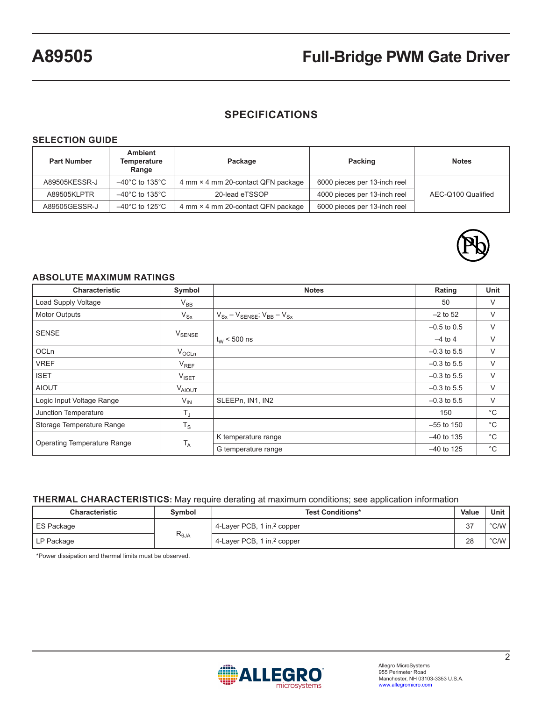# **SPECIFICATIONS**

#### **SELECTION GUIDE**

| <b>Part Number</b> | <b>Ambient</b><br>Temperature<br>Range | Package                                        | Packing                      | <b>Notes</b>       |
|--------------------|----------------------------------------|------------------------------------------------|------------------------------|--------------------|
| A89505KESSR-J      | $-40^{\circ}$ C to 135 $^{\circ}$ C    | 4 mm × 4 mm 20-contact QFN package             | 6000 pieces per 13-inch reel |                    |
| A89505KLPTR        | $-40^{\circ}$ C to 135 $^{\circ}$ C    | 4000 pieces per 13-inch reel<br>20-lead eTSSOP |                              | AEC-Q100 Qualified |
| A89505GESSR-J      | $-40^{\circ}$ C to 125 $^{\circ}$ C    | 4 mm × 4 mm 20-contact QFN package             | 6000 pieces per 13-inch reel |                    |



#### **ABSOLUTE MAXIMUM RATINGS**

| <b>Characteristic</b>              | Symbol             | <b>Notes</b>                             | Rating        | <b>Unit</b> |
|------------------------------------|--------------------|------------------------------------------|---------------|-------------|
| Load Supply Voltage                | $V_{BB}$           |                                          | 50            | V           |
| <b>Motor Outputs</b>               | $V_{Sx}$           | $V_{Sx} - V_{SENSE}$ , $V_{BB} - V_{Sx}$ | $-2$ to 52    | V           |
| <b>SENSE</b>                       |                    |                                          | $-0.5$ to 0.5 | V           |
|                                    | $V_{\text{SENSE}}$ | $t_{W}$ < 500 ns                         | $-4$ to 4     | V           |
| <b>OCLn</b>                        | $V_{OCLn}$         |                                          | $-0.3$ to 5.5 | V           |
| <b>VREF</b>                        | $V_{REF}$          |                                          | $-0.3$ to 5.5 | V           |
| <b>ISET</b>                        | $V_{\text{ISET}}$  |                                          | $-0.3$ to 5.5 | V           |
| <b>AIOUT</b>                       | <b>VAIOUT</b>      |                                          | $-0.3$ to 5.5 | V           |
| Logic Input Voltage Range          | $V_{\text{IN}}$    | SLEEPn, IN1, IN2                         | $-0.3$ to 5.5 | V           |
| Junction Temperature               | $T_J$              |                                          | 150           | $^{\circ}C$ |
| Storage Temperature Range          | $T_S$              |                                          | $-55$ to 150  | $^{\circ}C$ |
|                                    | T <sub>A</sub>     | K temperature range                      | $-40$ to 135  | $^{\circ}C$ |
| <b>Operating Temperature Range</b> |                    | G temperature range                      | $-40$ to 125  | $^{\circ}C$ |

#### **THERMAL CHARACTERISTICS:** May require derating at maximum conditions; see application information

| <b>Characteristic</b> | <b>Symbol</b>  | <b>Test Conditions*</b>                | Value | Unit          |
|-----------------------|----------------|----------------------------------------|-------|---------------|
| ES Package            |                | 4-Layer PCB, 1 in. <sup>2</sup> copper | 37    | $\degree$ C/W |
| LP Package            | $R_{\theta$ JA | 4-Layer PCB, 1 in. <sup>2</sup> copper | 28    | $\degree$ C/W |

\*Power dissipation and thermal limits must be observed.

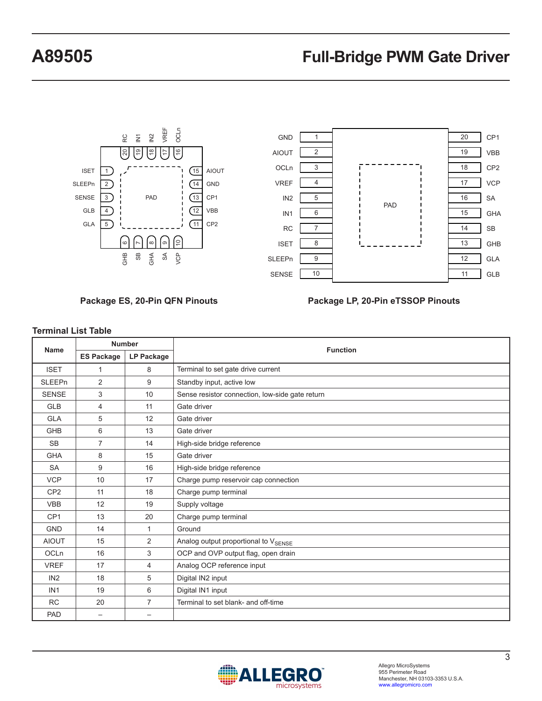



**Package ES, 20-Pin QFN Pinouts**

#### **Package LP, 20-Pin eTSSOP Pinouts**

| <b>Name</b>     | <b>Number</b>            |                          | <b>Function</b>                                 |  |  |
|-----------------|--------------------------|--------------------------|-------------------------------------------------|--|--|
|                 | <b>ES Package</b>        | <b>LP Package</b>        |                                                 |  |  |
| <b>ISET</b>     | $\mathbf{1}$             | 8                        | Terminal to set gate drive current              |  |  |
| <b>SLEEPn</b>   | 2                        | 9                        | Standby input, active low                       |  |  |
| <b>SENSE</b>    | 3                        | 10                       | Sense resistor connection, low-side gate return |  |  |
| <b>GLB</b>      | 4                        | 11                       | Gate driver                                     |  |  |
| <b>GLA</b>      | 5                        | 12                       | Gate driver                                     |  |  |
| GHB             | 6                        | 13                       | Gate driver                                     |  |  |
| <b>SB</b>       | $\overline{7}$           | 14                       | High-side bridge reference                      |  |  |
| <b>GHA</b>      | 8                        | 15                       | Gate driver                                     |  |  |
| <b>SA</b>       | 9                        | 16                       | High-side bridge reference                      |  |  |
| <b>VCP</b>      | 10                       | 17                       | Charge pump reservoir cap connection            |  |  |
| CP <sub>2</sub> | 11                       | 18                       | Charge pump terminal                            |  |  |
| <b>VBB</b>      | 12                       | 19                       | Supply voltage                                  |  |  |
| CP <sub>1</sub> | 13                       | 20                       | Charge pump terminal                            |  |  |
| <b>GND</b>      | 14                       | $\mathbf{1}$             | Ground                                          |  |  |
| <b>AIOUT</b>    | 15                       | 2                        | Analog output proportional to VSENSE            |  |  |
| <b>OCLn</b>     | 16                       | 3                        | OCP and OVP output flag, open drain             |  |  |
| <b>VREF</b>     | 17                       | $\overline{4}$           | Analog OCP reference input                      |  |  |
| IN <sub>2</sub> | 18                       | 5                        | Digital IN2 input                               |  |  |
| IN <sub>1</sub> | 19                       | 6                        | Digital IN1 input                               |  |  |
| <b>RC</b>       | 20                       | 7                        | Terminal to set blank- and off-time             |  |  |
| <b>PAD</b>      | $\overline{\phantom{0}}$ | $\overline{\phantom{0}}$ |                                                 |  |  |

#### **Terminal List Table**

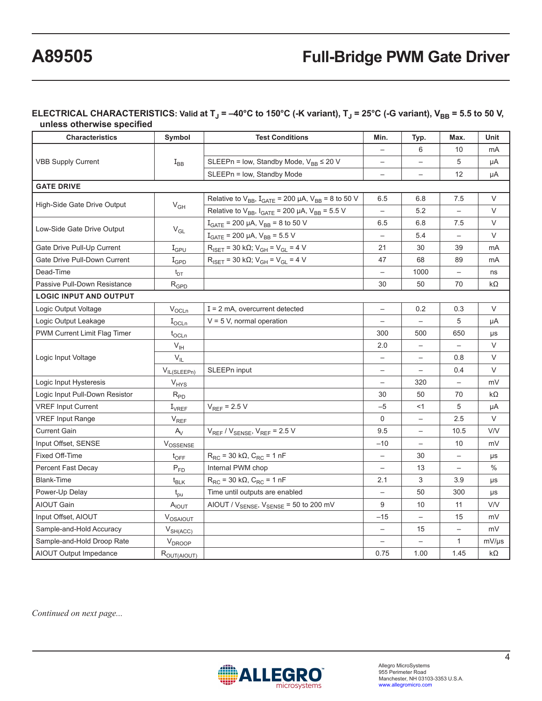#### ELECTRICAL CHARACTERISTICS: Valid at T<sub>J</sub> = –40°C to 150°C (-K variant), T<sub>J</sub> = 25°C (-G variant), V<sub>BB</sub> = 5.5 to 50 V, **unless otherwise specified**

| <b>Characteristics</b>         | Symbol           | <b>Test Conditions</b>                                                                 | Min.                     | Typ.                     | Max.                     | Unit          |
|--------------------------------|------------------|----------------------------------------------------------------------------------------|--------------------------|--------------------------|--------------------------|---------------|
|                                |                  |                                                                                        |                          | 6                        | 10                       | mA            |
| <b>VBB Supply Current</b>      | $I_{BB}$         | SLEEPn = low, Standby Mode, $V_{BB} \le 20 V$                                          | $\overline{\phantom{0}}$ |                          | 5                        | μA            |
|                                |                  | SLEEPn = low, Standby Mode                                                             | $\overline{\phantom{m}}$ |                          | 12                       | μA            |
| <b>GATE DRIVE</b>              |                  |                                                                                        |                          |                          |                          |               |
|                                |                  | Relative to $V_{BB}$ , $I_{GATE}$ = 200 µA, $V_{BB}$ = 8 to 50 V                       | 6.5                      | 6.8                      | 7.5                      | V             |
| High-Side Gate Drive Output    | $V_{GH}$         | Relative to $V_{BB}$ , $I_{GATE}$ = 200 µA, $V_{BB}$ = 5.5 V                           | $\overline{\phantom{0}}$ | 5.2                      | $\qquad \qquad -$        | $\vee$        |
| Low-Side Gate Drive Output     |                  | $I_{GATE}$ = 200 µA, $V_{BB}$ = 8 to 50 V                                              | 6.5                      | 6.8                      | 7.5                      | V             |
|                                | $V_{GL}$         | $I_{GATE}$ = 200 µA, $V_{BB}$ = 5.5 V                                                  | $\overline{\phantom{0}}$ | 5.4                      | $\overline{\phantom{0}}$ | $\vee$        |
| Gate Drive Pull-Up Current     | $I_{\text{GPU}}$ | $R_{\text{ISET}} = 30 \text{ k}\Omega$ ; $V_{\text{GH}} = V_{\text{GL}} = 4 \text{ V}$ | 21                       | 30                       | 39                       | mA            |
| Gate Drive Pull-Down Current   | $I_{\text{GPD}}$ | $R_{ISET}$ = 30 kΩ; $V_{GH}$ = $V_{GL}$ = 4 V                                          | 47                       | 68                       | 89                       | mA            |
| Dead-Time                      | $t_{DT}$         |                                                                                        |                          | 1000                     |                          | ns            |
| Passive Pull-Down Resistance   | $R_{GPD}$        |                                                                                        | 30                       | 50                       | 70                       | $k\Omega$     |
| <b>LOGIC INPUT AND OUTPUT</b>  |                  |                                                                                        |                          |                          |                          |               |
| Logic Output Voltage           | $V_{OCLn}$       | $I = 2$ mA, overcurrent detected                                                       | $\qquad \qquad -$        | 0.2                      | 0.3                      | V             |
| Logic Output Leakage           | $I_{OCLn}$       | $V = 5 V$ , normal operation                                                           | $\overline{\phantom{0}}$ | $\overline{\phantom{0}}$ | 5                        | μA            |
| PWM Current Limit Flag Timer   | $t_{OCLn}$       |                                                                                        | 300                      | 500                      | 650                      | μs            |
|                                | $V_{\text{IH}}$  |                                                                                        | 2.0                      | $\qquad \qquad -$        |                          | V             |
| Logic Input Voltage            | $V_{IL}$         |                                                                                        | $\qquad \qquad -$        | $\qquad \qquad -$        | 0.8                      | $\vee$        |
|                                | $V_{IL(SLEEPn)}$ | SLEEPn input                                                                           | $\qquad \qquad -$        |                          | 0.4                      | $\vee$        |
| Logic Input Hysteresis         | $V_{HYS}$        |                                                                                        |                          | 320                      |                          | mV            |
| Logic Input Pull-Down Resistor | $R_{PD}$         |                                                                                        | 30                       | 50                       | 70                       | kΩ            |
| <b>VREF Input Current</b>      | $I_{VREF}$       | $V_{REF}$ = 2.5 V                                                                      | $-5$                     | $<$ 1                    | 5                        | μA            |
| <b>VREF Input Range</b>        | $V_{REF}$        |                                                                                        | $\mathbf 0$              | $\overline{\phantom{m}}$ | 2.5                      | V             |
| <b>Current Gain</b>            | $A_V$            | $V_{REF}$ / $V_{SENSE}$ , $V_{REF}$ = 2.5 V                                            | 9.5                      | $\qquad \qquad -$        | 10.5                     | V/V           |
| Input Offset, SENSE            | $V_{OSSENSE}$    |                                                                                        | $-10$                    | $\qquad \qquad -$        | 10                       | mV            |
| Fixed Off-Time                 | $t_{\text{OFF}}$ | $R_{RC}$ = 30 k $\Omega$ , $C_{RC}$ = 1 nF                                             | $\overline{\phantom{m}}$ | 30                       | $\overline{\phantom{0}}$ | μs            |
| Percent Fast Decay             | $P_{FD}$         | Internal PWM chop                                                                      |                          | 13                       |                          | $\frac{0}{0}$ |
| <b>Blank-Time</b>              | $t_{BLK}$        | $R_{RC}$ = 30 k $\Omega$ , $C_{RC}$ = 1 nF                                             | 2.1                      | 3                        | 3.9                      | μs            |
| Power-Up Delay                 | $t_{\text{pu}}$  | Time until outputs are enabled                                                         |                          | 50                       | 300                      | μs            |
| <b>AIOUT Gain</b>              | AIOUT            | AIOUT / $V_{\text{SENSE}}$ , $V_{\text{SENSE}}$ = 50 to 200 mV                         | 9                        | 10                       | 11                       | <b>V/V</b>    |
| Input Offset, AIOUT            | VOSAIOUT         |                                                                                        | -15                      | $\qquad \qquad -$        | 15                       | mV            |
| Sample-and-Hold Accuracy       | $V_{SH(ACC)}$    |                                                                                        | $\overline{\phantom{a}}$ | 15                       | $\qquad \qquad -$        | mV            |
| Sample-and-Hold Droop Rate     | $V_{DROOP}$      |                                                                                        | $\qquad \qquad -$        | $\overline{\phantom{0}}$ | $\mathbf{1}$             | mV/µs         |
| AIOUT Output Impedance         | ROUT(AIOUT)      |                                                                                        | 0.75                     | 1.00                     | 1.45                     | $k\Omega$     |

*Continued on next page...*

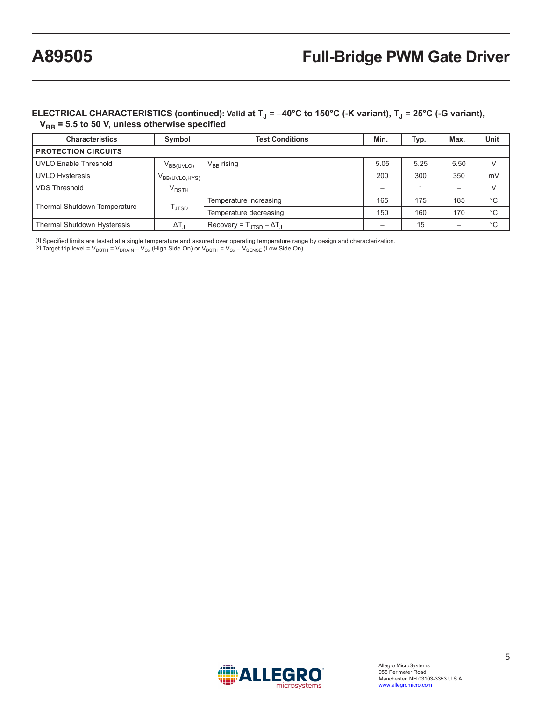#### **ELECTRICAL CHARACTERISTICS (continued): Valid at T<sub>J</sub> = -40°C to 150°C (-K variant), T<sub>J</sub> = 25°C (-G variant), VBB = 5.5 to 50 V, unless otherwise specified**

| <b>Characteristics</b>                                   | Symbol                           | <b>Test Conditions</b>                             | Min. | Typ. | Max. | Unit |
|----------------------------------------------------------|----------------------------------|----------------------------------------------------|------|------|------|------|
| <b>PROTECTION CIRCUITS</b>                               |                                  |                                                    |      |      |      |      |
| <b>UVLO Enable Threshold</b>                             | $V_{\mathsf{BB}(\mathsf{UVLO})}$ | $V_{BB}$ rising                                    | 5.05 | 5.25 | 5.50 | V    |
| <b>UVLO Hysteresis</b>                                   | V <sub>BB(UVLO, HYS)</sub>       |                                                    | 200  | 300  | 350  | mV   |
| <b>VDS Threshold</b>                                     | $\rm{V}_{\rm{DSTH}}$             |                                                    |      |      |      | V    |
|                                                          | l JTSD.                          | Temperature increasing                             | 165  | 175  | 185  | °C   |
| <b>Thermal Shutdown Temperature</b>                      |                                  | Temperature decreasing                             | 150  | 160  | 170  | °С   |
| <b>Thermal Shutdown Hysteresis</b><br>$\Delta T_{\rm d}$ |                                  | Recovery = $T_{\text{ITSD}} - \Delta T_{\text{J}}$ |      | 15   |      | °C   |

[1] Specified limits are tested at a single temperature and assured over operating temperature range by design and characterization.

[2] Target trip level =  $V_{\text{DSTH}}$  =  $V_{\text{DRAIN}} - V_{\text{Sx}}$  (High Side On) or  $V_{\text{DSTH}}$  =  $V_{\text{Sx}} - V_{\text{SENSE}}$  (Low Side On).

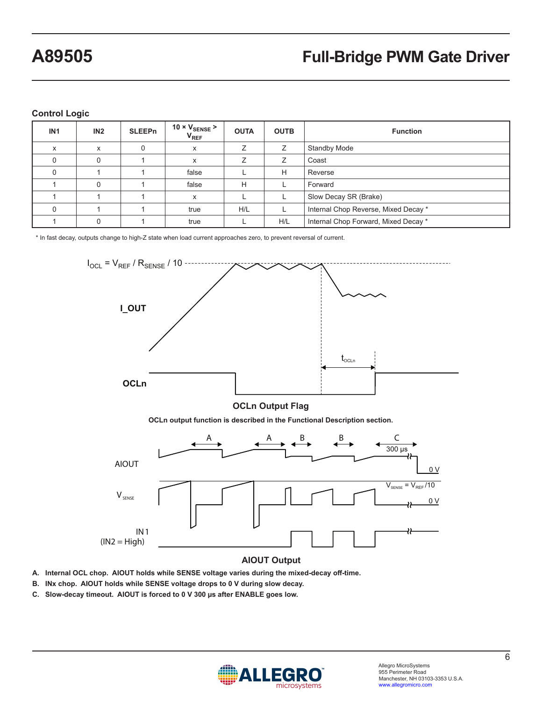**Control Logic**

| IN <sub>1</sub> | IN2      | <b>SLEEPn</b> | 10 $\times$ $V_{\text{SENSE}}$ ><br>$V_{REF}$ | <b>OUTA</b> | <b>OUTB</b> | <b>Function</b>                      |  |
|-----------------|----------|---------------|-----------------------------------------------|-------------|-------------|--------------------------------------|--|
| x               | x        |               | X                                             |             |             | <b>Standby Mode</b>                  |  |
|                 |          |               | X                                             |             | ⇁           | Coast                                |  |
|                 |          |               | false                                         |             | H           | Reverse                              |  |
|                 | $\Omega$ |               | false                                         | H           |             | Forward                              |  |
|                 |          |               | X                                             |             |             | Slow Decay SR (Brake)                |  |
|                 |          |               | true                                          | H/L         |             | Internal Chop Reverse, Mixed Decay * |  |
|                 |          |               | true                                          |             | H/L         | Internal Chop Forward, Mixed Decay * |  |

\* In fast decay, outputs change to high-Z state when load current approaches zero, to prevent reversal of current.



#### **AIOUT Output**

- **A. Internal OCL chop. AIOUT holds while SENSE voltage varies during the mixed-decay off-time.**
- **B. INx chop. AIOUT holds while SENSE voltage drops to 0 V during slow decay.**
- **C. Slow-decay timeout. AIOUT is forced to 0 V 300 µs after ENABLE goes low.**

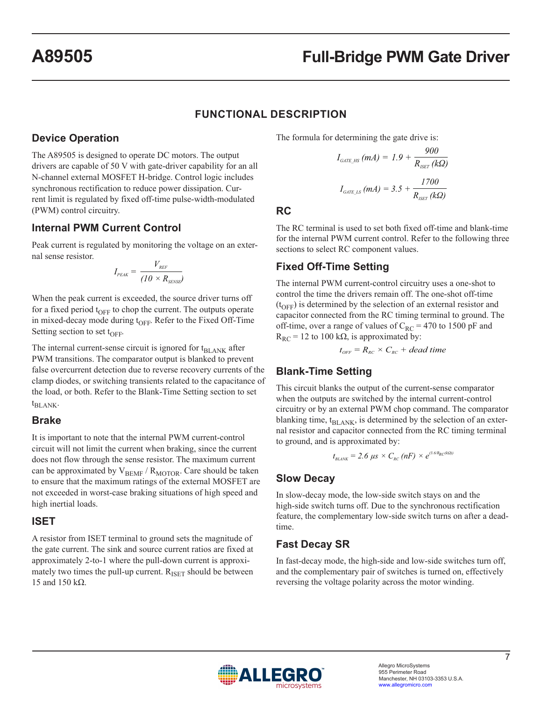### **FUNCTIONAL DESCRIPTION**

### **Device Operation**

The A89505 is designed to operate DC motors. The output drivers are capable of 50 V with gate-driver capability for an all N-channel external MOSFET H-bridge. Control logic includes synchronous rectification to reduce power dissipation. Current limit is regulated by fixed off-time pulse-width-modulated (PWM) control circuitry.

### **Internal PWM Current Control**

Peak current is regulated by monitoring the voltage on an external sense resistor.

$$
I_{\scriptscriptstyle{PEAK}} = \frac{V_{\scriptscriptstyle{REF}}}{(10 \times R_{\scriptscriptstyle{SENSE}})}
$$

When the peak current is exceeded, the source driver turns off for a fixed period  $t_{\text{OFF}}$  to chop the current. The outputs operate in mixed-decay mode during  $t_{OFF}$ . Refer to the Fixed Off-Time Setting section to set  $t_{\text{OFF}}$ .

The internal current-sense circuit is ignored for t<sub>BLANK</sub> after PWM transitions. The comparator output is blanked to prevent false overcurrent detection due to reverse recovery currents of the clamp diodes, or switching transients related to the capacitance of the load, or both. Refer to the Blank-Time Setting section to set  $t_{\text{BLANK}}$ .

#### **Brake**

It is important to note that the internal PWM current-control circuit will not limit the current when braking, since the current does not flow through the sense resistor. The maximum current can be approximated by  $\mathrm{V_{BEMF}}$  /  $\mathrm{R_{MOTOR}}.$  Care should be taken to ensure that the maximum ratings of the external MOSFET are not exceeded in worst-case braking situations of high speed and high inertial loads.

#### **ISET**

A resistor from ISET terminal to ground sets the magnitude of the gate current. The sink and source current ratios are fixed at approximately 2-to-1 where the pull-down current is approximately two times the pull-up current.  $R_{\text{ISET}}$  should be between 15 and 150 kΩ.

The formula for determining the gate drive is:

$$
I_{GATE\_HS} (mA) = 1.9 + \frac{900}{R_{ISET} (k\Omega)}
$$
  

$$
I_{GATE\_LS} (mA) = 3.5 + \frac{1700}{R_{ISET} (k\Omega)}
$$

**RC**

The RC terminal is used to set both fixed off-time and blank-time for the internal PWM current control. Refer to the following three sections to select RC component values.

# **Fixed Off-Time Setting**

The internal PWM current-control circuitry uses a one-shot to control the time the drivers remain off. The one-shot off-time  $(t<sub>OFF</sub>)$  is determined by the selection of an external resistor and capacitor connected from the RC timing terminal to ground. The off-time, over a range of values of  $C_{RC}$  = 470 to 1500 pF and  $R_{RC}$  = 12 to 100 k $\Omega$ , is approximated by:

$$
t_{OFF} = R_{RC} \times C_{RC} + dead \, time
$$

### **Blank-Time Setting**

This circuit blanks the output of the current-sense comparator when the outputs are switched by the internal current-control circuitry or by an external PWM chop command. The comparator blanking time,  $t_{BL,ANK}$ , is determined by the selection of an external resistor and capacitor connected from the RC timing terminal to ground, and is approximated by:

$$
t_{BLANK} = 2.6 \ \mu s \times C_{RC} \ (nF) \times e^{(3.6/R_{RC}(k\Omega))}
$$

# **Slow Decay**

In slow-decay mode, the low-side switch stays on and the high-side switch turns off. Due to the synchronous rectification feature, the complementary low-side switch turns on after a deadtime.

# **Fast Decay SR**

In fast-decay mode, the high-side and low-side switches turn off, and the complementary pair of switches is turned on, effectively reversing the voltage polarity across the motor winding.

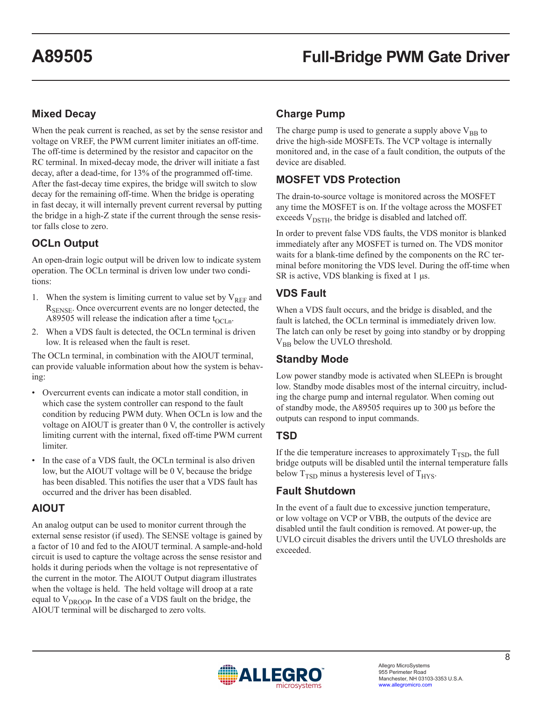# **Mixed Decay**

When the peak current is reached, as set by the sense resistor and voltage on VREF, the PWM current limiter initiates an off-time. The off-time is determined by the resistor and capacitor on the RC terminal. In mixed-decay mode, the driver will initiate a fast decay, after a dead-time, for 13% of the programmed off-time. After the fast-decay time expires, the bridge will switch to slow decay for the remaining off-time. When the bridge is operating in fast decay, it will internally prevent current reversal by putting the bridge in a high-Z state if the current through the sense resistor falls close to zero.

# **OCLn Output**

An open-drain logic output will be driven low to indicate system operation. The OCLn terminal is driven low under two conditions:

- 1. When the system is limiting current to value set by  $V_{REF}$  and R<sub>SENSE</sub>. Once overcurrent events are no longer detected, the A89505 will release the indication after a time  $t_{\text{OCLn}}$ .
- 2. When a VDS fault is detected, the OCLn terminal is driven low. It is released when the fault is reset.

The OCLn terminal, in combination with the AIOUT terminal, can provide valuable information about how the system is behaving:

- Overcurrent events can indicate a motor stall condition, in which case the system controller can respond to the fault condition by reducing PWM duty. When OCLn is low and the voltage on AIOUT is greater than 0 V, the controller is actively limiting current with the internal, fixed off-time PWM current limiter.
- In the case of a VDS fault, the OCLn terminal is also driven low, but the AIOUT voltage will be 0 V, because the bridge has been disabled. This notifies the user that a VDS fault has occurred and the driver has been disabled.

# **AIOUT**

An analog output can be used to monitor current through the external sense resistor (if used). The SENSE voltage is gained by a factor of 10 and fed to the AIOUT terminal. A sample-and-hold circuit is used to capture the voltage across the sense resistor and holds it during periods when the voltage is not representative of the current in the motor. The AIOUT Output diagram illustrates when the voltage is held. The held voltage will droop at a rate equal to V<sub>DROOP</sub>. In the case of a VDS fault on the bridge, the AIOUT terminal will be discharged to zero volts.

# **Charge Pump**

The charge pump is used to generate a supply above  $V_{BB}$  to drive the high-side MOSFETs. The VCP voltage is internally monitored and, in the case of a fault condition, the outputs of the device are disabled.

# **MOSFET VDS Protection**

The drain-to-source voltage is monitored across the MOSFET any time the MOSFET is on. If the voltage across the MOSFET exceeds  $V_{\text{DSTH}}$ , the bridge is disabled and latched off.

In order to prevent false VDS faults, the VDS monitor is blanked immediately after any MOSFET is turned on. The VDS monitor waits for a blank-time defined by the components on the RC terminal before monitoring the VDS level. During the off-time when SR is active, VDS blanking is fixed at 1 μs.

# **VDS Fault**

When a VDS fault occurs, and the bridge is disabled, and the fault is latched, the OCLn terminal is immediately driven low. The latch can only be reset by going into standby or by dropping V<sub>BB</sub> below the UVLO threshold.

# **Standby Mode**

Low power standby mode is activated when SLEEPn is brought low. Standby mode disables most of the internal circuitry, including the charge pump and internal regulator. When coming out of standby mode, the A89505 requires up to 300 μs before the outputs can respond to input commands.

# **TSD**

If the die temperature increases to approximately  $T_{\text{TSD}}$ , the full bridge outputs will be disabled until the internal temperature falls below  $T_{\text{TSD}}$  minus a hysteresis level of  $T_{\text{HYS}}$ .

# **Fault Shutdown**

In the event of a fault due to excessive junction temperature, or low voltage on VCP or VBB, the outputs of the device are disabled until the fault condition is removed. At power-up, the UVLO circuit disables the drivers until the UVLO thresholds are exceeded.

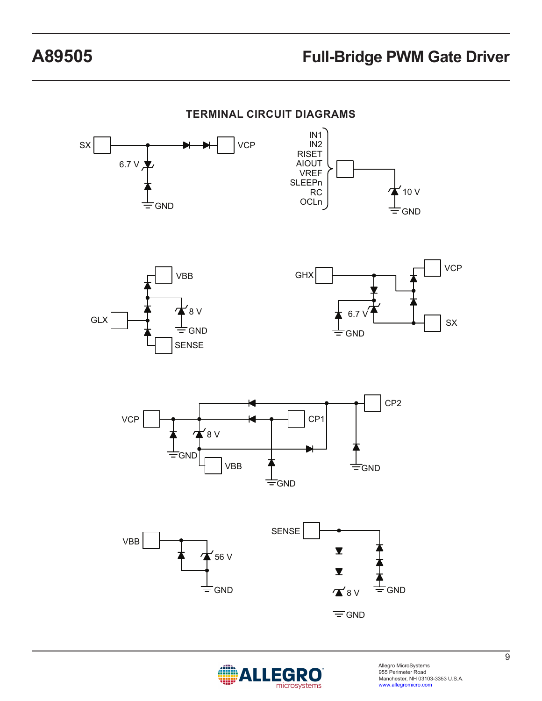

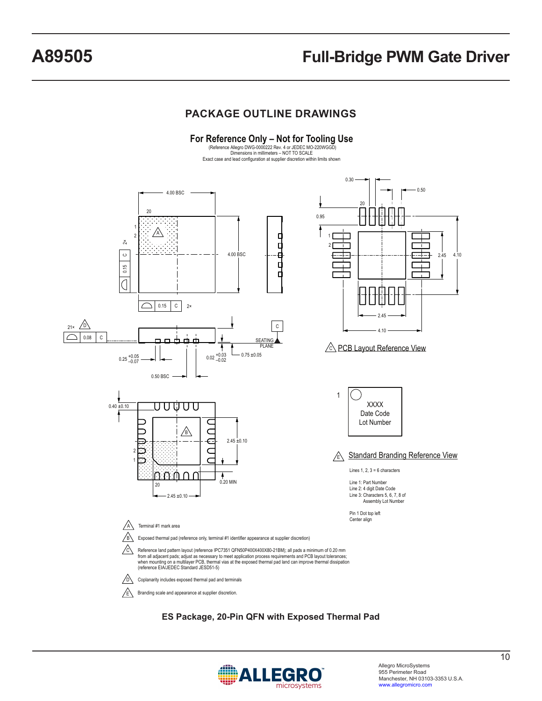### **PACKAGE OUTLINE DRAWINGS**



#### **ES Package, 20-Pin QFN with Exposed Thermal Pad**

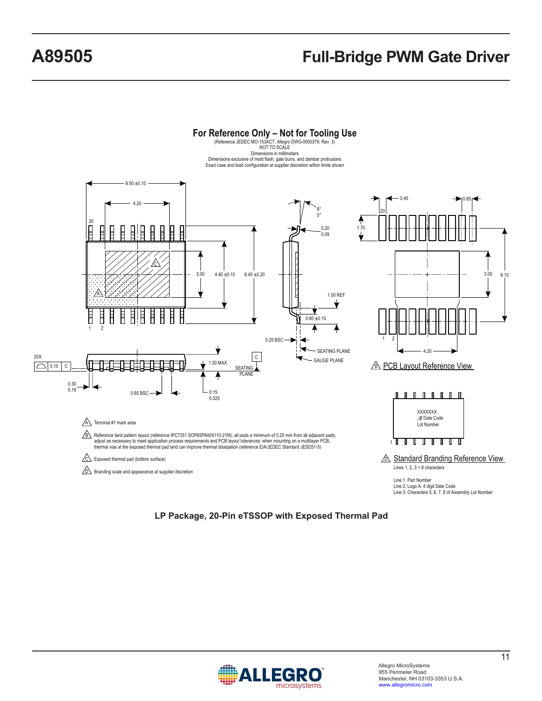

**LP Package, 20-Pin eTSSOP with Exposed Thermal Pad**